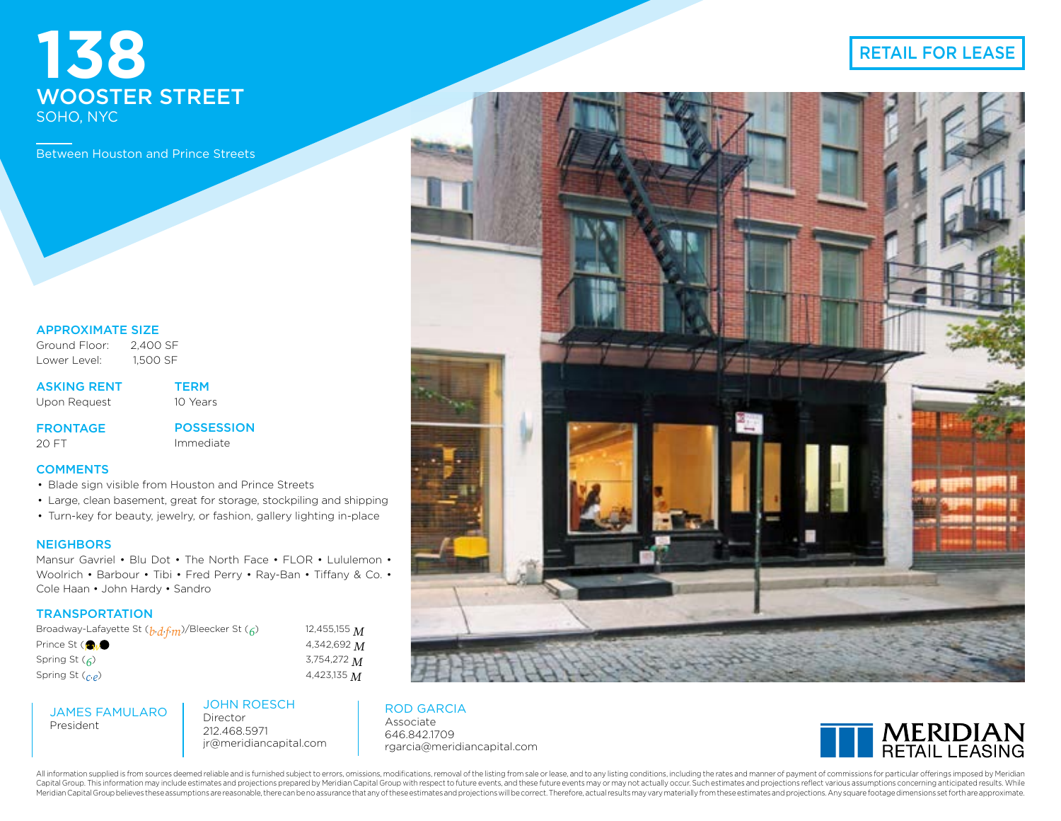# **138** WOOSTER STREET SOHO, NYC

Between Houston and Prince Streets

### APPROXIMATE SIZE

Ground Floor: 2,400 SF Lower Level: 1,500 SF

ASKING RENT Upon Request

**TERM** 10 Years

**FRONTAGE** 

20 FT

POSSESSION Immediate

### **COMMENTS**

- Blade sign visible from Houston and Prince Streets
- Large, clean basement, great for storage, stockpiling and shipping
- Turn-key for beauty, jewelry, or fashion, gallery lighting in-place

### **NEIGHBORS**

President

Mansur Gavriel • Blu Dot • The North Face • FLOR • Lululemon • Woolrich • Barbour • Tibi • Fred Perry • Ray-Ban • Tiffany & Co. • Cole Haan • John Hardy • Sandro

### **TRANSPORTATION**

| Broadway-Lafayette St (b.d.f.m)/Bleecker St ( <sub>6</sub> ) | 12,455,155 $M$ |
|--------------------------------------------------------------|----------------|
| Prince St (AM)                                               | 4,342,692 $M$  |
| Spring St $\mathcal{L}$                                      | 3,754,272 M    |
| Spring St $\binom{\sim}{\alpha}$                             | 4,423,135 $M$  |

JAMES FAMULARO JOHN ROESCH Director

212.468.5971 jr@meridiancapital.com ROD GARCIA Associate 646.842.1709 rgarcia@meridiancapital.com



RETAIL FOR LEASE



### All information supplied is from sources deemed reliable and is furnished subject to errors, omissions, modifications, removal of the listing from sale or lease, and to any listing conditions, including the rates and manne Capital Group. This information may include estimates and projections prepared by Meridian Capital Group with respect to future events, and these future events may or may not actually occur. Such estimates and projections Meridian Capital Group believes these assumptions are reasonable, there can be no assurance that any of these estimates and projections will be correct. Therefore, actual results may vary materially from these estimates an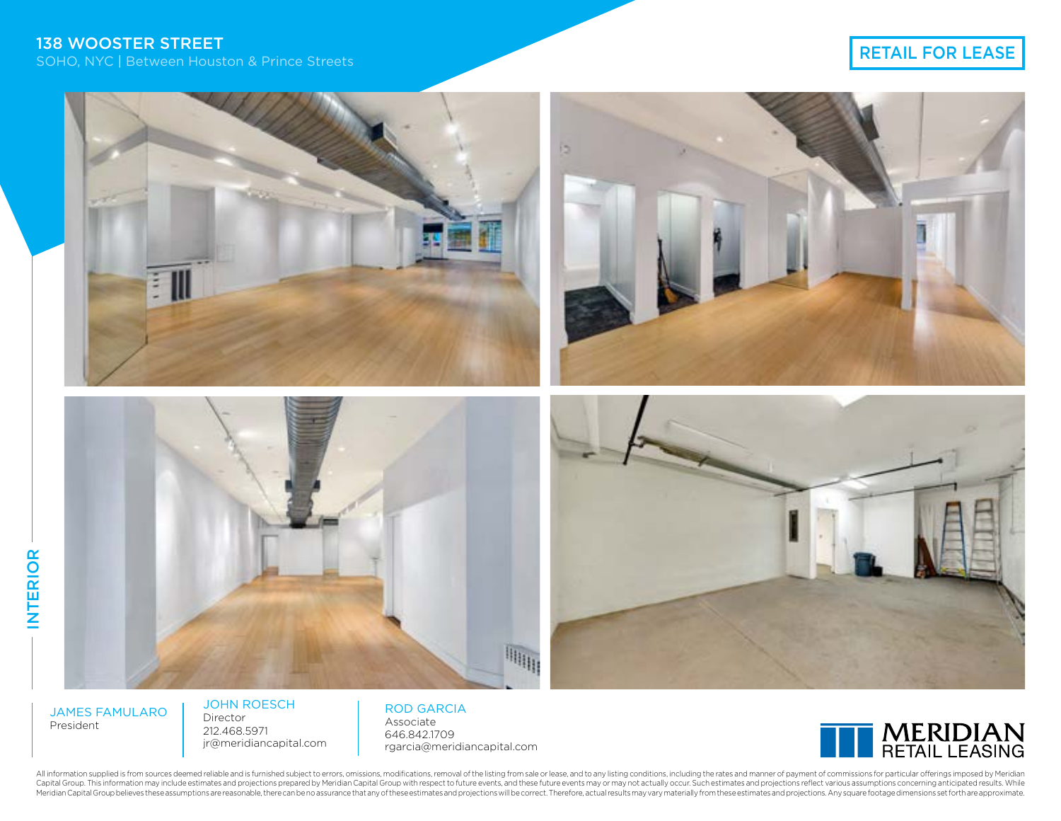

JAMES FAMULARO President

INTERIOR

**INTERIOR** 

JOHN ROESCH Director 212.468.5971 jr@meridiancapital.com

ROD GARCIA Associate 646.842.1709 rgarcia@meridiancapital.com



All information supplied is from sources deemed reliable and is furnished subject to errors, omissions, modifications, removal of the listing from sale or lease, and to any listing conditions, including the rates and manne Capital Group. This information may include estimates and projections prepared by Meridian Capital Group with respect to future events, and these future events may or may not actually occur. Such estimates and projections Meridian Capital Group believes these assumptions are reasonable, there can be no assurance that any of these estimates and projections will be correct. Therefore, actual results may vary materially from these estimates an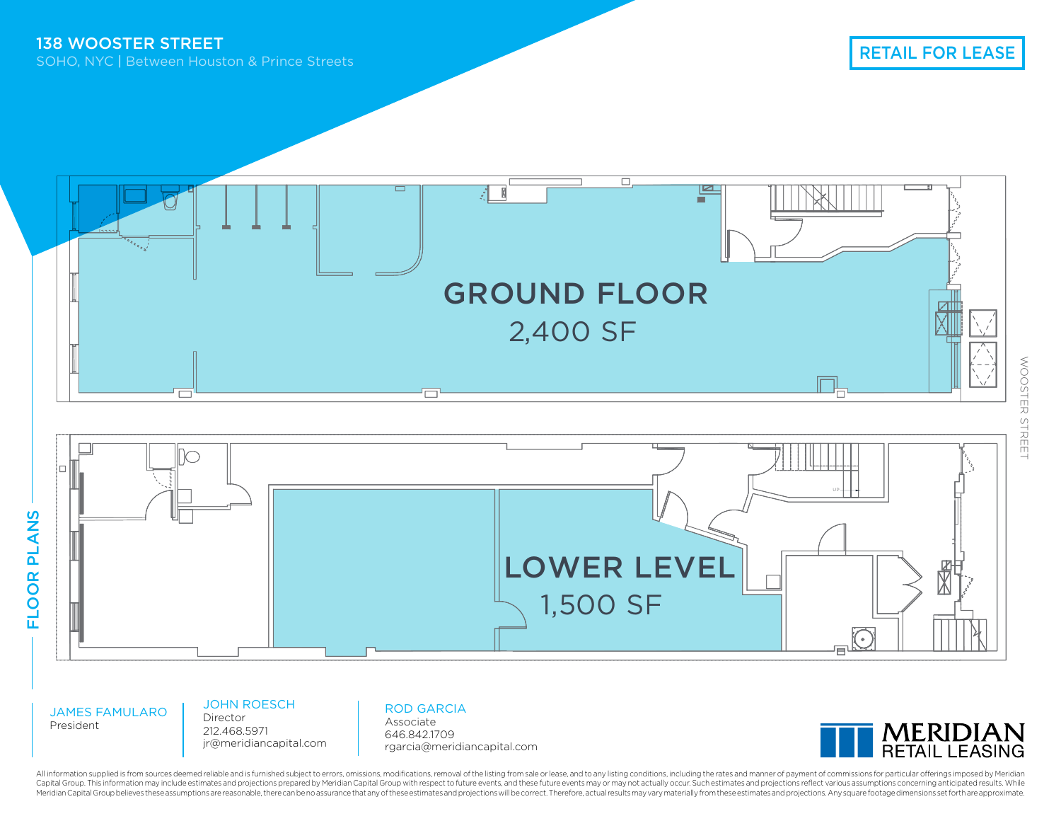



JAMES FAMULARO President

JOHN ROESCH Director 212.468.5971

jr@meridiancapital.com

ROD GARCIA Associate

646.842.1709 rgarcia@meridiancapital.com



All information supplied is from sources deemed reliable and is furnished subject to errors, omissions, modifications, removal of the listing from sale or lease, and to any listing conditions, including the rates and manne Capital Group. This information may include estimates and projections prepared by Meridian Capital Group with respect to future events, and these future events may or may not actually occur. Such estimates and projections Meridian Capital Group believes these assumptions are reasonable, there can be no assurance that any of these estimates and projections will be correct. Therefore, actual results may vary materially from these estimates an